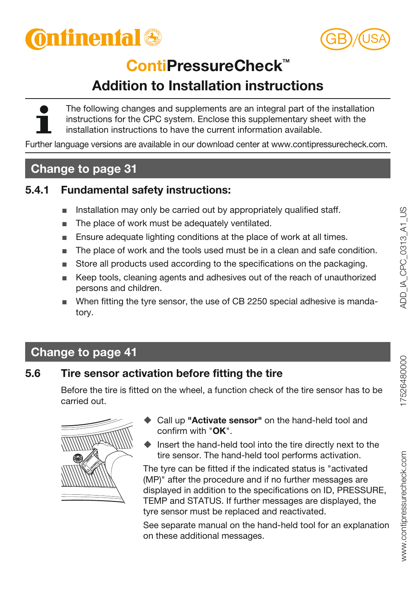



# **ContiPressureCheck™**

# **Addition to Installation instructions**

The following changes and supplements are an integral part of the installation instructions for the CPC system. Enclose this supplementary sheet with the installation instructions to have the current information available.

Further language versions are available in our download center at www.contipressurecheck.com.

# **Change to page 31**

### **5.4.1 Fundamental safety instructions:**

- Installation may only be carried out by appropriately qualified staff.
- The place of work must be adequately ventilated.
- Ensure adequate lighting conditions at the place of work at all times.
- The place of work and the tools used must be in a clean and safe condition.
- Store all products used according to the specifications on the packaging.
- Keep tools, cleaning agents and adhesives out of the reach of unauthorized persons and children.
- When fitting the tyre sensor, the use of CB 2250 special adhesive is mandatory.

# **Change to page 41**

## **5.6 Tire sensor activation before fitting the tire**

Before the tire is fitted on the wheel, a function check of the tire sensor has to be carried out.



- Call up **"Activate sensor"** on the hand-held tool and confirm with "**OK**".
- $\blacklozenge$  Insert the hand-held tool into the tire directly next to the tire sensor. The hand-held tool performs activation.

The tyre can be fitted if the indicated status is "activated (MP)" after the procedure and if no further messages are displayed in addition to the specifications on ID, PRESSURE, TEMP and STATUS. If further messages are displayed, the tyre sensor must be replaced and reactivated.

See separate manual on the hand-held tool for an explanation on these additional messages.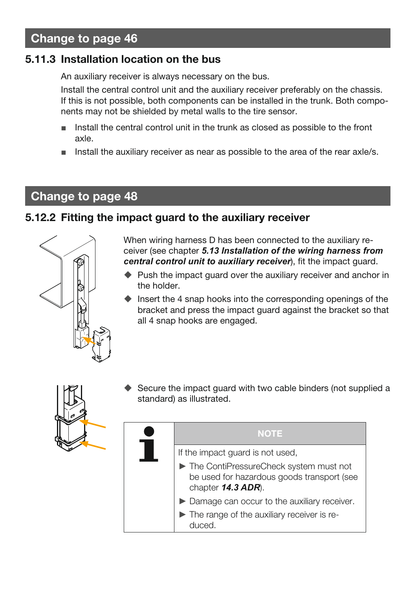# **Change to page 46**

### **5.11.3 Installation location on the bus**

An auxiliary receiver is always necessary on the bus.

Install the central control unit and the auxiliary receiver preferably on the chassis. If this is not possible, both components can be installed in the trunk. Both components may not be shielded by metal walls to the tire sensor.

- Install the central control unit in the trunk as closed as possible to the front axle.
- Install the auxiliary receiver as near as possible to the area of the rear axle/s.

## **Change to page 48**

#### **5.12.2 Fitting the impact guard to the auxiliary receiver**



When wiring harness D has been connected to the auxiliary receiver (see chapter *5.13 Installation of the wiring harness from central control unit to auxiliary receiver*), fit the impact guard.

- ♦ Push the impact quard over the auxiliary receiver and anchor in the holder.
- $\bullet$  Insert the 4 snap hooks into the corresponding openings of the bracket and press the impact guard against the bracket so that all 4 snap hooks are engaged.



 Secure the impact guard with two cable binders (not supplied a standard) as illustrated.

| <b>NOTE</b>                                                                                                  |
|--------------------------------------------------------------------------------------------------------------|
| If the impact guard is not used,                                                                             |
| The ContiPressureCheck system must not<br>be used for hazardous goods transport (see<br>chapter $14.3$ ADR). |
| Damage can occur to the auxiliary receiver.                                                                  |
| The range of the auxiliary receiver is re-<br>duced                                                          |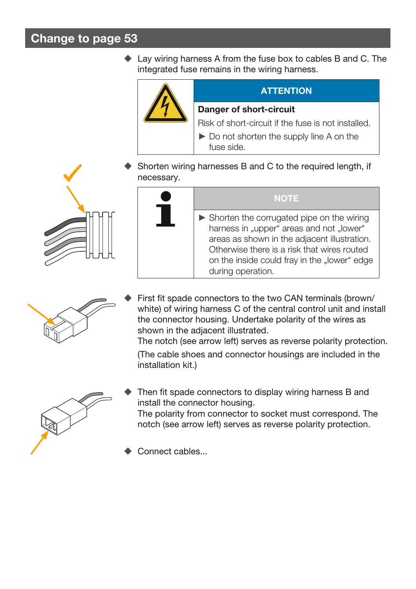# **Change to page 53**

◆ Lay wiring harness A from the fuse box to cables B and C. The integrated fuse remains in the wiring harness.



#### **ATTENTION**

#### **Danger of short-circuit**

Risk of short-circuit if the fuse is not installed.

- ► Do not shorten the supply line A on the fuse side.
- Shorten wiring harnesses B and C to the required length, if necessary.





#### **NOTE**

 $\triangleright$  Shorten the corrugated pipe on the wiring harness in "upper" areas and not "lower" areas as shown in the adjacent illustration. Otherwise there is a risk that wires routed on the inside could fray in the "lower" edge during operation.



 First fit spade connectors to the two CAN terminals (brown/ white) of wiring harness C of the central control unit and install the connector housing. Undertake polarity of the wires as shown in the adjacent illustrated.

The notch (see arrow left) serves as reverse polarity protection.

(The cable shoes and connector housings are included in the installation kit.)



 Then fit spade connectors to display wiring harness B and install the connector housing.

The polarity from connector to socket must correspond. The notch (see arrow left) serves as reverse polarity protection.

Connect cables...